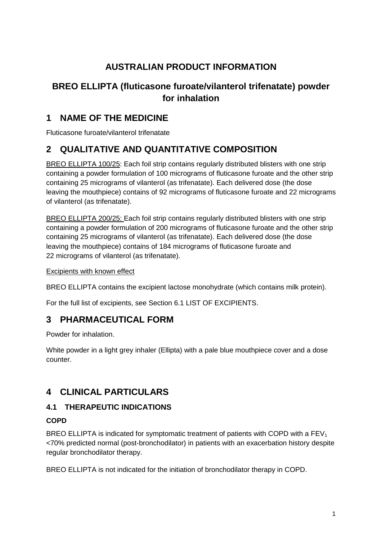# **AUSTRALIAN PRODUCT INFORMATION**

# **BREO ELLIPTA (fluticasone furoate/vilanterol trifenatate) powder for inhalation**

# **1 NAME OF THE MEDICINE**

Fluticasone furoate/vilanterol trifenatate

# **2 QUALITATIVE AND QUANTITATIVE COMPOSITION**

BREO ELLIPTA 100/25: Each foil strip contains regularly distributed blisters with one strip containing a powder formulation of 100 micrograms of fluticasone furoate and the other strip containing 25 micrograms of vilanterol (as trifenatate). Each delivered dose (the dose leaving the mouthpiece) contains of 92 micrograms of fluticasone furoate and 22 micrograms of vilanterol (as trifenatate).

BREO ELLIPTA 200/25: Each foil strip contains regularly distributed blisters with one strip containing a powder formulation of 200 micrograms of fluticasone furoate and the other strip containing 25 micrograms of vilanterol (as trifenatate). Each delivered dose (the dose leaving the mouthpiece) contains of 184 micrograms of fluticasone furoate and 22 micrograms of vilanterol (as trifenatate).

Excipients with known effect

BREO ELLIPTA contains the excipient lactose monohydrate (which contains milk protein).

For the full list of excipients, see Section 6.1 LIST OF EXCIPIENTS.

# **3 PHARMACEUTICAL FORM**

Powder for inhalation.

White powder in a light grey inhaler (Ellipta) with a pale blue mouthpiece cover and a dose counter.

# **4 CLINICAL PARTICULARS**

## **4.1 THERAPEUTIC INDICATIONS**

## **COPD**

BREO ELLIPTA is indicated for symptomatic treatment of patients with COPD with a  $FEV<sub>1</sub>$ <70% predicted normal (post-bronchodilator) in patients with an exacerbation history despite regular bronchodilator therapy.

BREO ELLIPTA is not indicated for the initiation of bronchodilator therapy in COPD.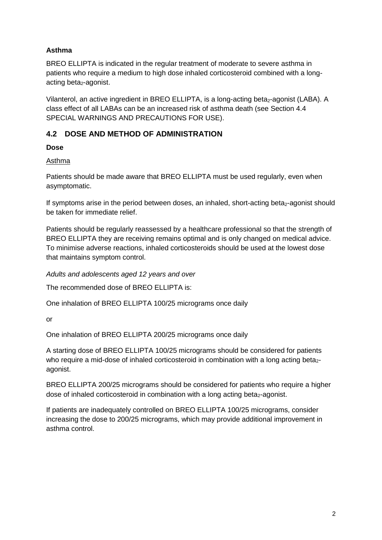## **Asthma**

BREO ELLIPTA is indicated in the regular treatment of moderate to severe asthma in patients who require a medium to high dose inhaled corticosteroid combined with a longacting beta<sub>2</sub>-agonist.

Vilanterol, an active ingredient in BREO ELLIPTA, is a long-acting beta<sub>2</sub>-agonist (LABA). A class effect of all LABAs can be an increased risk of asthma death (see Section 4.4 SPECIAL WARNINGS AND PRECAUTIONS FOR USE).

## **4.2 DOSE AND METHOD OF ADMINISTRATION**

## **Dose**

## Asthma

Patients should be made aware that BREO ELLIPTA must be used regularly, even when asymptomatic.

If symptoms arise in the period between doses, an inhaled, short-acting beta $_2$ -agonist should be taken for immediate relief.

Patients should be regularly reassessed by a healthcare professional so that the strength of BREO ELLIPTA they are receiving remains optimal and is only changed on medical advice. To minimise adverse reactions, inhaled corticosteroids should be used at the lowest dose that maintains symptom control.

*Adults and adolescents aged 12 years and over*

The recommended dose of BREO ELLIPTA is:

One inhalation of BREO ELLIPTA 100/25 micrograms once daily

or

One inhalation of BREO ELLIPTA 200/25 micrograms once daily

A starting dose of BREO ELLIPTA 100/25 micrograms should be considered for patients who require a mid-dose of inhaled corticosteroid in combination with a long acting beta<sub>2</sub>agonist.

BREO ELLIPTA 200/25 micrograms should be considered for patients who require a higher dose of inhaled corticosteroid in combination with a long acting beta<sub>2</sub>-agonist.

If patients are inadequately controlled on BREO ELLIPTA 100/25 micrograms, consider increasing the dose to 200/25 micrograms, which may provide additional improvement in asthma control.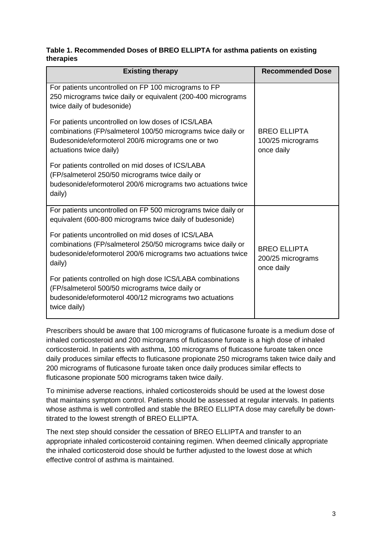### **Table 1. Recommended Doses of BREO ELLIPTA for asthma patients on existing therapies**

| <b>Existing therapy</b>                                                                                                                                                                             | <b>Recommended Dose</b>                                |
|-----------------------------------------------------------------------------------------------------------------------------------------------------------------------------------------------------|--------------------------------------------------------|
| For patients uncontrolled on FP 100 micrograms to FP<br>250 micrograms twice daily or equivalent (200-400 micrograms<br>twice daily of budesonide)                                                  |                                                        |
| For patients uncontrolled on low doses of ICS/LABA<br>combinations (FP/salmeterol 100/50 micrograms twice daily or<br>Budesonide/eformoterol 200/6 micrograms one or two<br>actuations twice daily) | <b>BREO ELLIPTA</b><br>100/25 micrograms<br>once daily |
| For patients controlled on mid doses of ICS/LABA<br>(FP/salmeterol 250/50 micrograms twice daily or<br>budesonide/eformoterol 200/6 micrograms two actuations twice<br>daily)                       |                                                        |
| For patients uncontrolled on FP 500 micrograms twice daily or<br>equivalent (600-800 micrograms twice daily of budesonide)                                                                          |                                                        |
| For patients uncontrolled on mid doses of ICS/LABA<br>combinations (FP/salmeterol 250/50 micrograms twice daily or<br>budesonide/eformoterol 200/6 micrograms two actuations twice<br>daily)        | <b>BREO ELLIPTA</b><br>200/25 micrograms<br>once daily |
| For patients controlled on high dose ICS/LABA combinations<br>(FP/salmeterol 500/50 micrograms twice daily or<br>budesonide/eformoterol 400/12 micrograms two actuations<br>twice daily)            |                                                        |

Prescribers should be aware that 100 micrograms of fluticasone furoate is a medium dose of inhaled corticosteroid and 200 micrograms of fluticasone furoate is a high dose of inhaled corticosteroid. In patients with asthma, 100 micrograms of fluticasone furoate taken once daily produces similar effects to fluticasone propionate 250 micrograms taken twice daily and 200 micrograms of fluticasone furoate taken once daily produces similar effects to fluticasone propionate 500 micrograms taken twice daily.

To minimise adverse reactions, inhaled corticosteroids should be used at the lowest dose that maintains symptom control. Patients should be assessed at regular intervals. In patients whose asthma is well controlled and stable the BREO ELLIPTA dose may carefully be downtitrated to the lowest strength of BREO ELLIPTA.

The next step should consider the cessation of BREO ELLIPTA and transfer to an appropriate inhaled corticosteroid containing regimen. When deemed clinically appropriate the inhaled corticosteroid dose should be further adjusted to the lowest dose at which effective control of asthma is maintained.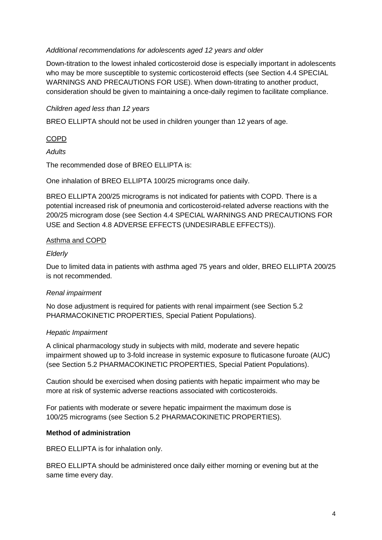#### *Additional recommendations for adolescents aged 12 years and older*

Down-titration to the lowest inhaled corticosteroid dose is especially important in adolescents who may be more susceptible to systemic corticosteroid effects (see Section 4.4 SPECIAL WARNINGS AND PRECAUTIONS FOR USE). When down-titrating to another product, consideration should be given to maintaining a once-daily regimen to facilitate compliance.

### *Children aged less than 12 years*

BREO ELLIPTA should not be used in children younger than 12 years of age.

## COPD

*Adults*

The recommended dose of BREO ELLIPTA is:

One inhalation of BREO ELLIPTA 100/25 micrograms once daily.

BREO ELLIPTA 200/25 micrograms is not indicated for patients with COPD. There is a potential increased risk of pneumonia and corticosteroid-related adverse reactions with the 200/25 microgram dose (see Section 4.4 SPECIAL WARNINGS AND PRECAUTIONS FOR USE and Section 4.8 ADVERSE EFFECTS (UNDESIRABLE EFFECTS)).

### Asthma and COPD

### *Elderly*

Due to limited data in patients with asthma aged 75 years and older, BREO ELLIPTA 200/25 is not recommended.

## *Renal impairment*

No dose adjustment is required for patients with renal impairment (see Section 5.2 PHARMACOKINETIC PROPERTIES, Special Patient Populations).

#### *Hepatic Impairment*

A clinical pharmacology study in subjects with mild, moderate and severe hepatic impairment showed up to 3-fold increase in systemic exposure to fluticasone furoate (AUC) (see Section 5.2 PHARMACOKINETIC PROPERTIES, Special Patient Populations).

Caution should be exercised when dosing patients with hepatic impairment who may be more at risk of systemic adverse reactions associated with corticosteroids.

For patients with moderate or severe hepatic impairment the maximum dose is 100/25 micrograms (see Section 5.2 PHARMACOKINETIC PROPERTIES).

#### **Method of administration**

BREO ELLIPTA is for inhalation only.

BREO ELLIPTA should be administered once daily either morning or evening but at the same time every day.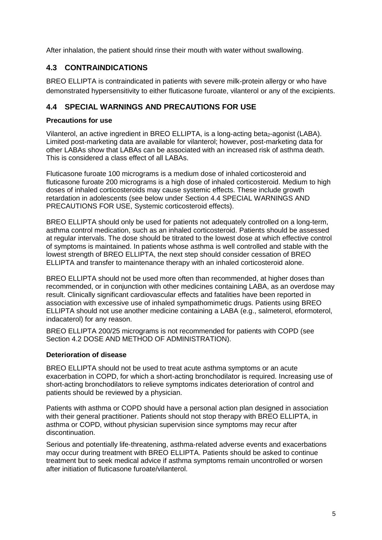After inhalation, the patient should rinse their mouth with water without swallowing.

## **4.3 CONTRAINDICATIONS**

BREO ELLIPTA is contraindicated in patients with severe milk-protein allergy or who have demonstrated hypersensitivity to either fluticasone furoate, vilanterol or any of the excipients.

## **4.4 SPECIAL WARNINGS AND PRECAUTIONS FOR USE**

### **Precautions for use**

Vilanterol, an active ingredient in BREO ELLIPTA, is a long-acting beta<sub>2</sub>-agonist (LABA). Limited post-marketing data are available for vilanterol; however, post-marketing data for other LABAs show that LABAs can be associated with an increased risk of asthma death. This is considered a class effect of all LABAs.

Fluticasone furoate 100 micrograms is a medium dose of inhaled corticosteroid and fluticasone furoate 200 micrograms is a high dose of inhaled corticosteroid. Medium to high doses of inhaled corticosteroids may cause systemic effects. These include growth retardation in adolescents (see below under Section 4.4 SPECIAL WARNINGS AND PRECAUTIONS FOR USE, Systemic corticosteroid effects).

BREO ELLIPTA should only be used for patients not adequately controlled on a long-term, asthma control medication, such as an inhaled corticosteroid. Patients should be assessed at regular intervals. The dose should be titrated to the lowest dose at which effective control of symptoms is maintained. In patients whose asthma is well controlled and stable with the lowest strength of BREO ELLIPTA, the next step should consider cessation of BREO ELLIPTA and transfer to maintenance therapy with an inhaled corticosteroid alone.

BREO ELLIPTA should not be used more often than recommended, at higher doses than recommended, or in conjunction with other medicines containing LABA, as an overdose may result. Clinically significant cardiovascular effects and fatalities have been reported in association with excessive use of inhaled sympathomimetic drugs. Patients using BREO ELLIPTA should not use another medicine containing a LABA (e.g., salmeterol, eformoterol, indacaterol) for any reason.

BREO ELLIPTA 200/25 micrograms is not recommended for patients with COPD (see Section 4.2 DOSE AND METHOD OF ADMINISTRATION).

## **Deterioration of disease**

BREO ELLIPTA should not be used to treat acute asthma symptoms or an acute exacerbation in COPD, for which a short-acting bronchodilator is required. Increasing use of short-acting bronchodilators to relieve symptoms indicates deterioration of control and patients should be reviewed by a physician.

Patients with asthma or COPD should have a personal action plan designed in association with their general practitioner. Patients should not stop therapy with BREO ELLIPTA, in asthma or COPD, without physician supervision since symptoms may recur after discontinuation.

Serious and potentially life-threatening, asthma-related adverse events and exacerbations may occur during treatment with BREO ELLIPTA. Patients should be asked to continue treatment but to seek medical advice if asthma symptoms remain uncontrolled or worsen after initiation of fluticasone furoate/vilanterol.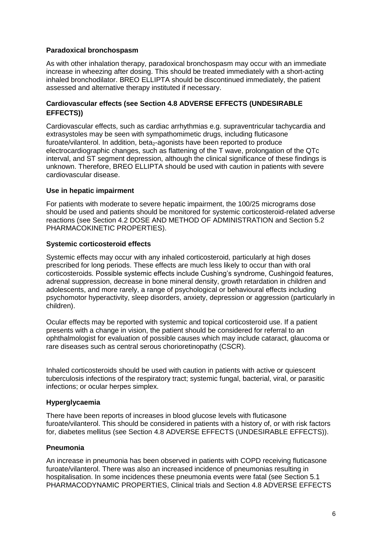#### **Paradoxical bronchospasm**

As with other inhalation therapy, paradoxical bronchospasm may occur with an immediate increase in wheezing after dosing. This should be treated immediately with a short-acting inhaled bronchodilator. BREO ELLIPTA should be discontinued immediately, the patient assessed and alternative therapy instituted if necessary.

#### **Cardiovascular effects (see Section 4.8 ADVERSE EFFECTS (UNDESIRABLE EFFECTS))**

Cardiovascular effects, such as cardiac arrhythmias e.g. supraventricular tachycardia and extrasystoles may be seen with sympathomimetic drugs, including fluticasone furoate/vilanterol. In addition, beta<sub>2</sub>-agonists have been reported to produce electrocardiographic changes, such as flattening of the T wave, prolongation of the QTc interval, and ST segment depression, although the clinical significance of these findings is unknown. Therefore, BREO ELLIPTA should be used with caution in patients with severe cardiovascular disease.

#### **Use in hepatic impairment**

For patients with moderate to severe hepatic impairment, the 100/25 micrograms dose should be used and patients should be monitored for systemic corticosteroid-related adverse reactions (see Section 4.2 DOSE AND METHOD OF ADMINISTRATION and Section 5.2 PHARMACOKINETIC PROPERTIES).

### **Systemic corticosteroid effects**

Systemic effects may occur with any inhaled corticosteroid, particularly at high doses prescribed for long periods. These effects are much less likely to occur than with oral corticosteroids. Possible systemic effects include Cushing's syndrome, Cushingoid features, adrenal suppression, decrease in bone mineral density, growth retardation in children and adolescents, and more rarely, a range of psychological or behavioural effects including psychomotor hyperactivity, sleep disorders, anxiety, depression or aggression (particularly in children).

Ocular effects may be reported with systemic and topical corticosteroid use. If a patient presents with a change in vision, the patient should be considered for referral to an ophthalmologist for evaluation of possible causes which may include cataract, glaucoma or rare diseases such as central serous chorioretinopathy (CSCR).

Inhaled corticosteroids should be used with caution in patients with active or quiescent tuberculosis infections of the respiratory tract; systemic fungal, bacterial, viral, or parasitic infections; or ocular herpes simplex.

#### **Hyperglycaemia**

There have been reports of increases in blood glucose levels with fluticasone furoate/vilanterol. This should be considered in patients with a history of, or with risk factors for, diabetes mellitus (see Section 4.8 ADVERSE EFFECTS (UNDESIRABLE EFFECTS)).

#### **Pneumonia**

An increase in pneumonia has been observed in patients with COPD receiving fluticasone furoate/vilanterol. There was also an increased incidence of pneumonias resulting in hospitalisation. In some incidences these pneumonia events were fatal (see Section 5.1 PHARMACODYNAMIC PROPERTIES, Clinical trials and Section 4.8 ADVERSE EFFECTS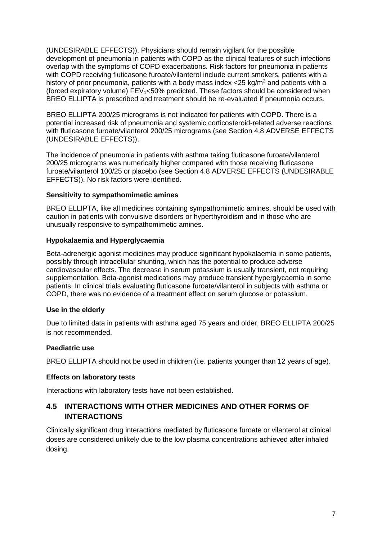(UNDESIRABLE EFFECTS)). Physicians should remain vigilant for the possible development of pneumonia in patients with COPD as the clinical features of such infections overlap with the symptoms of COPD exacerbations. Risk factors for pneumonia in patients with COPD receiving fluticasone furoate/vilanterol include current smokers, patients with a history of prior pneumonia, patients with a body mass index  $\langle 25 \text{ ka/m}^2 \rangle$  and patients with a (forced expiratory volume)  $FEV_1<50\%$  predicted. These factors should be considered when BREO ELLIPTA is prescribed and treatment should be re-evaluated if pneumonia occurs.

BREO ELLIPTA 200/25 micrograms is not indicated for patients with COPD. There is a potential increased risk of pneumonia and systemic corticosteroid-related adverse reactions with fluticasone furoate/vilanterol 200/25 micrograms (see Section 4.8 ADVERSE EFFECTS (UNDESIRABLE EFFECTS)).

The incidence of pneumonia in patients with asthma taking fluticasone furoate/vilanterol 200/25 micrograms was numerically higher compared with those receiving fluticasone furoate/vilanterol 100/25 or placebo (see Section 4.8 ADVERSE EFFECTS (UNDESIRABLE EFFECTS)). No risk factors were identified.

#### **Sensitivity to sympathomimetic amines**

BREO ELLIPTA, like all medicines containing sympathomimetic amines, should be used with caution in patients with convulsive disorders or hyperthyroidism and in those who are unusually responsive to sympathomimetic amines.

### **Hypokalaemia and Hyperglycaemia**

Beta-adrenergic agonist medicines may produce significant hypokalaemia in some patients, possibly through intracellular shunting, which has the potential to produce adverse cardiovascular effects. The decrease in serum potassium is usually transient, not requiring supplementation. Beta-agonist medications may produce transient hyperglycaemia in some patients. In clinical trials evaluating fluticasone furoate/vilanterol in subjects with asthma or COPD, there was no evidence of a treatment effect on serum glucose or potassium.

## **Use in the elderly**

Due to limited data in patients with asthma aged 75 years and older, BREO ELLIPTA 200/25 is not recommended.

## **Paediatric use**

BREO ELLIPTA should not be used in children (i.e. patients younger than 12 years of age).

#### **Effects on laboratory tests**

Interactions with laboratory tests have not been established.

## **4.5 INTERACTIONS WITH OTHER MEDICINES AND OTHER FORMS OF INTERACTIONS**

Clinically significant drug interactions mediated by fluticasone furoate or vilanterol at clinical doses are considered unlikely due to the low plasma concentrations achieved after inhaled dosing.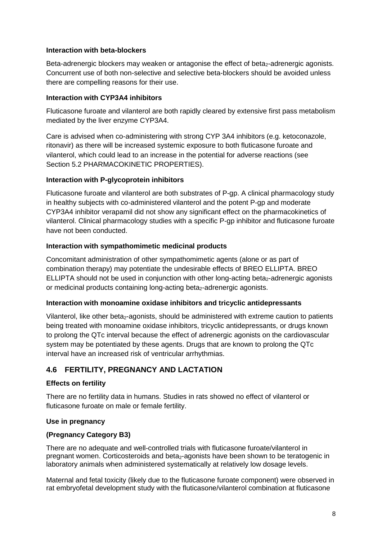#### **Interaction with beta-blockers**

Beta-adrenergic blockers may weaken or antagonise the effect of beta $_2$ -adrenergic agonists. Concurrent use of both non-selective and selective beta-blockers should be avoided unless there are compelling reasons for their use.

### **Interaction with CYP3A4 inhibitors**

Fluticasone furoate and vilanterol are both rapidly cleared by extensive first pass metabolism mediated by the liver enzyme CYP3A4.

Care is advised when co-administering with strong CYP 3A4 inhibitors (e.g. ketoconazole, ritonavir) as there will be increased systemic exposure to both fluticasone furoate and vilanterol, which could lead to an increase in the potential for adverse reactions (see Section 5.2 PHARMACOKINETIC PROPERTIES).

### **Interaction with P-glycoprotein inhibitors**

Fluticasone furoate and vilanterol are both substrates of P-gp. A clinical pharmacology study in healthy subjects with co-administered vilanterol and the potent P-gp and moderate CYP3A4 inhibitor verapamil did not show any significant effect on the pharmacokinetics of vilanterol. Clinical pharmacology studies with a specific P-gp inhibitor and fluticasone furoate have not been conducted.

### **Interaction with sympathomimetic medicinal products**

Concomitant administration of other sympathomimetic agents (alone or as part of combination therapy) may potentiate the undesirable effects of BREO ELLIPTA. BREO ELLIPTA should not be used in conjunction with other long-acting beta<sub>2</sub>-adrenergic agonists or medicinal products containing long-acting beta<sub>2</sub>-adrenergic agonists.

#### **Interaction with monoamine oxidase inhibitors and tricyclic antidepressants**

Vilanterol, like other beta<sub>2</sub>-agonists, should be administered with extreme caution to patients being treated with monoamine oxidase inhibitors, tricyclic antidepressants, or drugs known to prolong the QTc interval because the effect of adrenergic agonists on the cardiovascular system may be potentiated by these agents. Drugs that are known to prolong the QTc interval have an increased risk of ventricular arrhythmias.

## **4.6 FERTILITY, PREGNANCY AND LACTATION**

## **Effects on fertility**

There are no fertility data in humans. Studies in rats showed no effect of vilanterol or fluticasone furoate on male or female fertility.

#### **Use in pregnancy**

## **(Pregnancy Category B3)**

There are no adequate and well-controlled trials with fluticasone furoate/vilanterol in pregnant women. Corticosteroids and beta<sub>2</sub>-agonists have been shown to be teratogenic in laboratory animals when administered systematically at relatively low dosage levels.

Maternal and fetal toxicity (likely due to the fluticasone furoate component) were observed in rat embryofetal development study with the fluticasone/vilanterol combination at fluticasone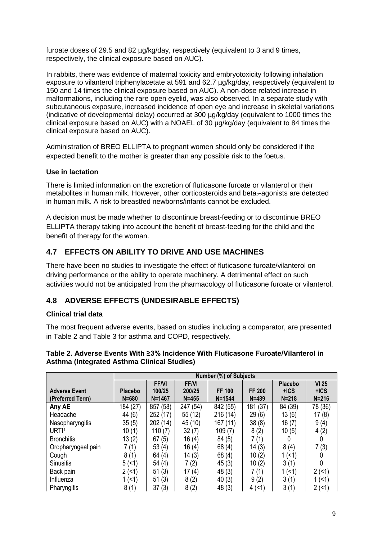furoate doses of 29.5 and 82 µg/kg/day, respectively (equivalent to 3 and 9 times, respectively, the clinical exposure based on AUC).

In rabbits, there was evidence of maternal toxicity and embryotoxicity following inhalation exposure to vilanterol triphenylacetate at 591 and 62.7 µg/kg/day, respectively (equivalent to 150 and 14 times the clinical exposure based on AUC). A non-dose related increase in malformations, including the rare open eyelid, was also observed. In a separate study with subcutaneous exposure, increased incidence of open eye and increase in skeletal variations (indicative of developmental delay) occurred at 300 µg/kg/day (equivalent to 1000 times the clinical exposure based on AUC) with a NOAEL of 30 µg/kg/day (equivalent to 84 times the clinical exposure based on AUC).

Administration of BREO ELLIPTA to pregnant women should only be considered if the expected benefit to the mother is greater than any possible risk to the foetus.

### **Use in lactation**

There is limited information on the excretion of fluticasone furoate or vilanterol or their metabolites in human milk. However, other corticosteroids and beta<sub>2</sub>-agonists are detected in human milk. A risk to breastfed newborns/infants cannot be excluded.

A decision must be made whether to discontinue breast-feeding or to discontinue BREO ELLIPTA therapy taking into account the benefit of breast-feeding for the child and the benefit of therapy for the woman.

## **4.7 EFFECTS ON ABILITY TO DRIVE AND USE MACHINES**

There have been no studies to investigate the effect of fluticasone furoate/vilanterol on driving performance or the ability to operate machinery. A detrimental effect on such activities would not be anticipated from the pharmacology of fluticasone furoate or vilanterol.

## **4.8 ADVERSE EFFECTS (UNDESIRABLE EFFECTS)**

#### **Clinical trial data**

The most frequent adverse events, based on studies including a comparator, are presented in Table 2 and Table 3 for asthma and COPD, respectively.

|                      | Number (%) of Subjects |              |              |               |               |           |              |
|----------------------|------------------------|--------------|--------------|---------------|---------------|-----------|--------------|
|                      |                        | <b>FF/VI</b> | <b>FF/VI</b> |               |               | Placebo   | <b>VI 25</b> |
| <b>Adverse Event</b> | <b>Placebo</b>         | 100/25       | 200/25       | <b>FF 100</b> | <b>FF 200</b> | $+ICS$    | $+ICS$       |
| (Preferred Term)     | $N = 680$              | $N = 1467$   | $N = 455$    | $N = 1544$    | $N = 489$     | $N = 218$ | $N = 216$    |
| Any AE               | 184 (27)               | 857 (58)     | 247 (54)     | 842 (55)      | 181 (37)      | 84 (39)   | 78 (36)      |
| Headache             | 44 (6)                 | 252 (17)     | 55 (12)      | 216 (14)      | 29(6)         | 13(6)     | 17(8)        |
| Nasopharyngitis      | 35(5)                  | 202 (14)     | 45 (10)      | 167 (11)      | 38(8)         | 16(7)     | 9(4)         |
| URTI <sup>1</sup>    | 10(1)                  | 110(7)       | 32(7)        | 109(7)        | 8(2)          | 10(5)     | 4(2)         |
| <b>Bronchitis</b>    | 13(2)                  | 67(5)        | 16(4)        | 84 (5)        | 7 (1)         | 0         | 0            |
| Oropharyngeal pain   | 7(1)                   | 53(4)        | 16(4)        | 68(4)         | 14(3)         | 8(4)      | 7(3)         |
| Cough                | 8(1)                   | 64(4)        | 14(3)        | 68(4)         | 10(2)         | 1(51)     |              |
| <b>Sinusitis</b>     | 5(1)                   | 54(4)        | 7(2)         | 45(3)         | 10(2)         | 3(1)      |              |
| Back pain            | 2(1)                   | 51(3)        | 17(4)        | 48(3)         | 7 (1)         | 1(51)     | 2(1)         |
| Influenza            | 1(51)                  | 51(3)        | 8(2)         | 40(3)         | 9(2)          | 3(1)      | 1 $($        |
| Pharyngitis          | 8(1)                   | 37(3)        | 8(2)         | 48(3)         | 4(1)          | 3(1)      | 2(1)         |

### **Table 2. Adverse Events With ≥3% Incidence With Fluticasone Furoate/Vilanterol in Asthma (Integrated Asthma Clinical Studies)**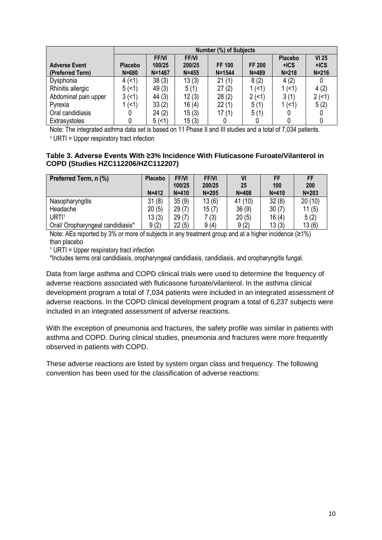|                      |                | <b>Number (%) of Subjects</b> |             |               |               |                |           |  |  |
|----------------------|----------------|-------------------------------|-------------|---------------|---------------|----------------|-----------|--|--|
|                      |                | <b>FFNI</b>                   | <b>FFNI</b> |               |               | <b>Placebo</b> | $VI$ 25   |  |  |
| <b>Adverse Event</b> | <b>Placebo</b> | 100/25                        | 200/25      | <b>FF 100</b> | <b>FF 200</b> | $+ICS$         | $+ICS$    |  |  |
| (Preferred Term)     | $N = 680$      | $N = 1467$                    | $N = 455$   | $N = 1544$    | $N = 489$     | $N = 218$      | $N = 216$ |  |  |
| Dysphonia            | 4(1)           | 38(3)                         | 13(3)       | 21(1)         | 8(2)          | 4(2)           |           |  |  |
| Rhinitis allergic    | 5(1)           | 49(3)                         | 5(1)        | 27(2)         | 1 (<1)        | 1 (<1)         | 4(2)      |  |  |
| Abdominal pain upper | 3(5)           | 44 (3)                        | 12(3)       | 28(2)         | 2(1)          | 3(1)           | 2(1)      |  |  |
| Pyrexia              | (1)            | 33(2)                         | 16(4)       | 22(1)         | 5(1)          | 1 (<1)         | 5(2)      |  |  |
| Oral candidiasis     |                | 24(2)                         | 15(3)       | 17(1)         | 5(1)          |                |           |  |  |
| Extrasystoles        |                | 5(1)                          | 15(3)       |               |               |                |           |  |  |

Note: The integrated asthma data set is based on 11 Phase II and III studies and a total of 7,034 patients. <sup>1</sup> URTI = Upper respiratory tract infection

#### **Table 3. Adverse Events With ≥3% Incidence With Fluticasone Furoate/Vilanterol in COPD (Studies HZC112206/HZC112207)**

| Preferred Term, n (%)            | <b>Placebo</b> | <b>FF/VI</b> | <b>FF/VI</b> | VI        | <b>FF</b> | FF        |
|----------------------------------|----------------|--------------|--------------|-----------|-----------|-----------|
|                                  |                | 100/25       | 200/25       | 25        | 100       | 200       |
|                                  | $N = 412$      | $N = 410$    | $N = 205$    | $N = 408$ | $N = 410$ | $N = 203$ |
| Nasopharyngitis                  | 31(8)          | 35(9)        | 13(6)        | 41 (10)   | 32(8)     | 20(10)    |
| Headache                         | 20(5)          | 29(7)        | 15(7)        | 36(9)     | 30(7)     | 11(5)     |
| URTI <sup>1</sup>                | 13(3)          | 29(7)        | 7 (3)        | 20(5)     | 16(4)     | 5(2)      |
| Oral/ Oropharyngeal candidiasis* | 9(2)           | 22(5)        | 9(4)         | 9(2)      | 13(3)     | 13(6)     |

Note: AEs reported by 3% or more of subjects in any treatment group and at a higher incidence (≥1%) than placebo

<sup>1</sup> URTI = Upper respiratory tract infection

\*Includes terms oral candidiasis, oropharyngeal candidiasis, candidiasis, and oropharyngitis fungal.

Data from large asthma and COPD clinical trials were used to determine the frequency of adverse reactions associated with fluticasone furoate/vilanterol. In the asthma clinical development program a total of 7,034 patients were included in an integrated assessment of adverse reactions. In the COPD clinical development program a total of 6,237 subjects were included in an integrated assessment of adverse reactions.

With the exception of pneumonia and fractures, the safety profile was similar in patients with asthma and COPD. During clinical studies, pneumonia and fractures were more frequently observed in patients with COPD.

These adverse reactions are listed by system organ class and frequency. The following convention has been used for the classification of adverse reactions: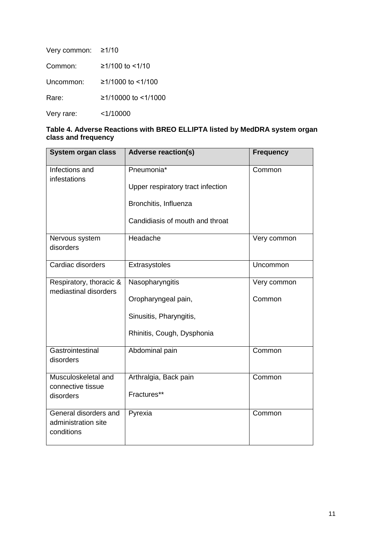| Very common: | ≥1/10                 |
|--------------|-----------------------|
| Common:      | $≥1/100$ to $≤1/10$   |
| Uncommon:    | $≥1/1000$ to $≤1/100$ |
| Rare:        | ≥1/10000 to <1/1000   |
| Very rare:   | $<$ 1/10000           |

| Table 4. Adverse Reactions with BREO ELLIPTA listed by MedDRA system organ |  |  |
|----------------------------------------------------------------------------|--|--|
| class and frequency                                                        |  |  |

| <b>Adverse reaction(s)</b>        | <b>Frequency</b> |
|-----------------------------------|------------------|
| Pneumonia*                        | Common           |
| Upper respiratory tract infection |                  |
| Bronchitis, Influenza             |                  |
| Candidiasis of mouth and throat   |                  |
| Headache                          | Very common      |
| Extrasystoles                     | Uncommon         |
| Nasopharyngitis                   | Very common      |
| Oropharyngeal pain,               | Common           |
| Sinusitis, Pharyngitis,           |                  |
| Rhinitis, Cough, Dysphonia        |                  |
| Abdominal pain                    | Common           |
| Arthralgia, Back pain             | Common           |
| Fractures**                       |                  |
| Pyrexia                           | Common           |
|                                   |                  |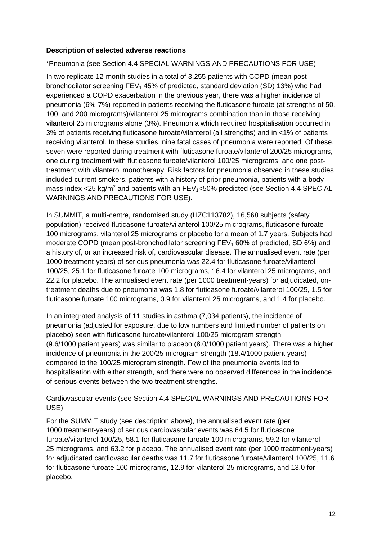### **Description of selected adverse reactions**

### \*Pneumonia (see Section 4.4 SPECIAL WARNINGS AND PRECAUTIONS FOR USE)

In two replicate 12-month studies in a total of 3,255 patients with COPD (mean postbronchodilator screening  $FEV<sub>1</sub>$  45% of predicted, standard deviation (SD) 13%) who had experienced a COPD exacerbation in the previous year, there was a higher incidence of pneumonia (6%-7%) reported in patients receiving the fluticasone furoate (at strengths of 50, 100, and 200 micrograms)/vilanterol 25 micrograms combination than in those receiving vilanterol 25 micrograms alone (3%). Pneumonia which required hospitalisation occurred in 3% of patients receiving fluticasone furoate/vilanterol (all strengths) and in <1% of patients receiving vilanterol. In these studies, nine fatal cases of pneumonia were reported. Of these, seven were reported during treatment with fluticasone furoate/vilanterol 200/25 micrograms, one during treatment with fluticasone furoate/vilanterol 100/25 micrograms, and one posttreatment with vilanterol monotherapy. Risk factors for pneumonia observed in these studies included current smokers, patients with a history of prior pneumonia, patients with a body mass index <25 kg/m<sup>2</sup> and patients with an  $FEV_1$ <50% predicted (see Section 4.4 SPECIAL WARNINGS AND PRECAUTIONS FOR USE).

In SUMMIT, a multi-centre, randomised study (HZC113782), 16,568 subjects (safety population) received fluticasone furoate/vilanterol 100/25 micrograms, fluticasone furoate 100 micrograms, vilanterol 25 micrograms or placebo for a mean of 1.7 years. Subjects had moderate COPD (mean post-bronchodilator screening  $FEV<sub>1</sub>60%$  of predicted, SD 6%) and a history of, or an increased risk of, cardiovascular disease. The annualised event rate (per 1000 treatment-years) of serious pneumonia was 22.4 for fluticasone furoate/vilanterol 100/25, 25.1 for fluticasone furoate 100 micrograms, 16.4 for vilanterol 25 micrograms, and 22.2 for placebo. The annualised event rate (per 1000 treatment-years) for adjudicated, ontreatment deaths due to pneumonia was 1.8 for fluticasone furoate/vilanterol 100/25, 1.5 for fluticasone furoate 100 micrograms, 0.9 for vilanterol 25 micrograms, and 1.4 for placebo.

In an integrated analysis of 11 studies in asthma (7,034 patients), the incidence of pneumonia (adjusted for exposure, due to low numbers and limited number of patients on placebo) seen with fluticasone furoate/vilanterol 100/25 microgram strength (9.6/1000 patient years) was similar to placebo (8.0/1000 patient years). There was a higher incidence of pneumonia in the 200/25 microgram strength (18.4/1000 patient years) compared to the 100/25 microgram strength. Few of the pneumonia events led to hospitalisation with either strength, and there were no observed differences in the incidence of serious events between the two treatment strengths.

## Cardiovascular events (see Section 4.4 SPECIAL WARNINGS AND PRECAUTIONS FOR USE)

For the SUMMIT study (see description above), the annualised event rate (per 1000 treatment-years) of serious cardiovascular events was 64.5 for fluticasone furoate/vilanterol 100/25, 58.1 for fluticasone furoate 100 micrograms, 59.2 for vilanterol 25 micrograms, and 63.2 for placebo. The annualised event rate (per 1000 treatment-years) for adjudicated cardiovascular deaths was 11.7 for fluticasone furoate/vilanterol 100/25, 11.6 for fluticasone furoate 100 micrograms, 12.9 for vilanterol 25 micrograms, and 13.0 for placebo.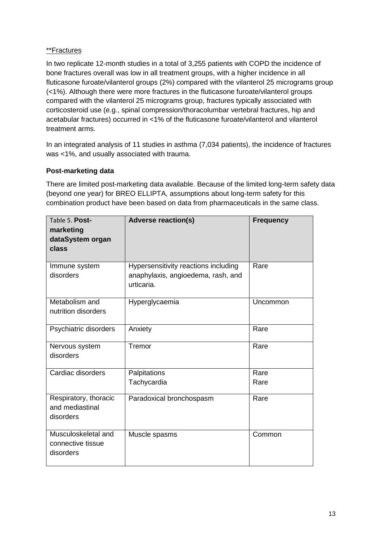## \*\*Fractures

In two replicate 12-month studies in a total of 3,255 patients with COPD the incidence of bone fractures overall was low in all treatment groups, with a higher incidence in all fluticasone furoate/vilanterol groups (2%) compared with the vilanterol 25 micrograms group (<1%). Although there were more fractures in the fluticasone furoate/vilanterol groups compared with the vilanterol 25 micrograms group, fractures typically associated with corticosteroid use (e.g., spinal compression/thoracolumbar vertebral fractures, hip and acetabular fractures) occurred in <1% of the fluticasone furoate/vilanterol and vilanterol treatment arms.

In an integrated analysis of 11 studies in asthma (7,034 patients), the incidence of fractures was <1%, and usually associated with trauma.

## **Post-marketing data**

There are limited post-marketing data available. Because of the limited long-term safety data (beyond one year) for BREO ELLIPTA, assumptions about long-term safety for this combination product have been based on data from pharmaceuticals in the same class.

| Table 5. Post-<br>marketing<br>dataSystem organ<br>class | <b>Adverse reaction(s)</b>                                                               | <b>Frequency</b> |
|----------------------------------------------------------|------------------------------------------------------------------------------------------|------------------|
| Immune system<br>disorders                               | Hypersensitivity reactions including<br>anaphylaxis, angioedema, rash, and<br>urticaria. | Rare             |
| Metabolism and<br>nutrition disorders                    | Hyperglycaemia                                                                           | Uncommon         |
| Psychiatric disorders                                    | Anxiety                                                                                  | Rare             |
| Nervous system<br>disorders                              | Tremor                                                                                   | Rare             |
| Cardiac disorders                                        | Palpitations                                                                             | Rare             |
|                                                          | Tachycardia                                                                              | Rare             |
| Respiratory, thoracic<br>and mediastinal<br>disorders    | Paradoxical bronchospasm                                                                 | Rare             |
| Musculoskeletal and<br>connective tissue<br>disorders    | Muscle spasms                                                                            | Common           |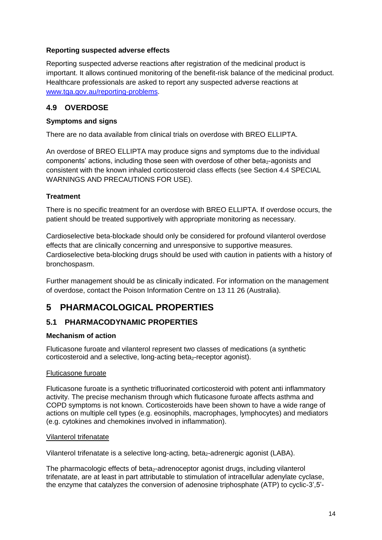## **Reporting suspected adverse effects**

Reporting suspected adverse reactions after registration of the medicinal product is important. It allows continued monitoring of the benefit-risk balance of the medicinal product. Healthcare professionals are asked to report any suspected adverse reactions at [www.tga.gov.au/reporting-problems.](http://www.tga.gov.au/reporting-problems)

## **4.9 OVERDOSE**

### **Symptoms and signs**

There are no data available from clinical trials on overdose with BREO ELLIPTA.

An overdose of BREO ELLIPTA may produce signs and symptoms due to the individual components' actions, including those seen with overdose of other beta<sub>2</sub>-agonists and consistent with the known inhaled corticosteroid class effects (see Section 4.4 SPECIAL WARNINGS AND PRECAUTIONS FOR USE).

## **Treatment**

There is no specific treatment for an overdose with BREO ELLIPTA. If overdose occurs, the patient should be treated supportively with appropriate monitoring as necessary.

Cardioselective beta-blockade should only be considered for profound vilanterol overdose effects that are clinically concerning and unresponsive to supportive measures. Cardioselective beta-blocking drugs should be used with caution in patients with a history of bronchospasm.

Further management should be as clinically indicated. For information on the management of overdose, contact the Poison Information Centre on 13 11 26 (Australia).

# **5 PHARMACOLOGICAL PROPERTIES**

## **5.1 PHARMACODYNAMIC PROPERTIES**

#### **Mechanism of action**

Fluticasone furoate and vilanterol represent two classes of medications (a synthetic corticosteroid and a selective, long-acting beta<sub>2</sub>-receptor agonist).

#### Fluticasone furoate

Fluticasone furoate is a synthetic trifluorinated corticosteroid with potent anti inflammatory activity. The precise mechanism through which fluticasone furoate affects asthma and COPD symptoms is not known. Corticosteroids have been shown to have a wide range of actions on multiple cell types (e.g. eosinophils, macrophages, lymphocytes) and mediators (e.g. cytokines and chemokines involved in inflammation).

#### Vilanterol trifenatate

Vilanterol trifenatate is a selective long-acting, beta<sub>2</sub>-adrenergic agonist (LABA).

The pharmacologic effects of beta<sub>2</sub>-adrenoceptor agonist drugs, including vilanterol trifenatate, are at least in part attributable to stimulation of intracellular adenylate cyclase, the enzyme that catalyzes the conversion of adenosine triphosphate (ATP) to cyclic-3',5'-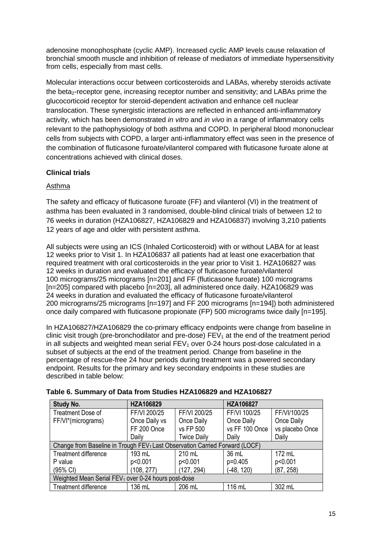adenosine monophosphate (cyclic AMP). Increased cyclic AMP levels cause relaxation of bronchial smooth muscle and inhibition of release of mediators of immediate hypersensitivity from cells, especially from mast cells.

Molecular interactions occur between corticosteroids and LABAs, whereby steroids activate the beta<sub>2</sub>-receptor gene, increasing receptor number and sensitivity; and LABAs prime the glucocorticoid receptor for steroid-dependent activation and enhance cell nuclear translocation. These synergistic interactions are reflected in enhanced anti-inflammatory activity, which has been demonstrated *in vitro* and *in vivo* in a range of inflammatory cells relevant to the pathophysiology of both asthma and COPD. In peripheral blood mononuclear cells from subjects with COPD, a larger anti-inflammatory effect was seen in the presence of the combination of fluticasone furoate/vilanterol compared with fluticasone furoate alone at concentrations achieved with clinical doses.

## **Clinical trials**

## Asthma

The safety and efficacy of fluticasone furoate (FF) and vilanterol (VI) in the treatment of asthma has been evaluated in 3 randomised, double-blind clinical trials of between 12 to 76 weeks in duration (HZA106827, HZA106829 and HZA106837) involving 3,210 patients 12 years of age and older with persistent asthma.

All subjects were using an ICS (Inhaled Corticosteroid) with or without LABA for at least 12 weeks prior to Visit 1. In HZA106837 all patients had at least one exacerbation that required treatment with oral corticosteroids in the year prior to Visit 1. HZA106827 was 12 weeks in duration and evaluated the efficacy of fluticasone furoate/vilanterol 100 micrograms/25 micrograms [n=201] and FF (fluticasone furoate) 100 micrograms [n=205] compared with placebo [n=203], all administered once daily. HZA106829 was 24 weeks in duration and evaluated the efficacy of fluticasone furoate/vilanterol 200 micrograms/25 micrograms [n=197] and FF 200 micrograms [n=194]) both administered once daily compared with fluticasone propionate (FP) 500 micrograms twice daily [n=195].

In HZA106827/HZA106829 the co-primary efficacy endpoints were change from baseline in clinic visit trough (pre-bronchodilator and pre-dose)  $FEV<sub>1</sub>$  at the end of the treatment period in all subjects and weighted mean serial  $FEV<sub>1</sub>$  over 0-24 hours post-dose calculated in a subset of subjects at the end of the treatment period. Change from baseline in the percentage of rescue-free 24 hour periods during treatment was a powered secondary endpoint. Results for the primary and key secondary endpoints in these studies are described in table below:

| <b>Study No.</b>                                                                        | HZA106829     |                    | HZA106827      |                 |  |  |
|-----------------------------------------------------------------------------------------|---------------|--------------------|----------------|-----------------|--|--|
| <b>Treatment Dose of</b>                                                                | FF/VI 200/25  | FF/VI 200/25       | FF/VI 100/25   | FF/VI/100/25    |  |  |
| FF/VI*(micrograms)                                                                      | Once Daily vs | Once Daily         | Once Daily     | Once Daily      |  |  |
|                                                                                         | FF 200 Once   | vs FP 500          | vs FF 100 Once | vs placebo Once |  |  |
|                                                                                         | Daily         | <b>Twice Daily</b> | Daily          | Daily           |  |  |
| Change from Baseline in Trough FEV <sub>1</sub> Last Observation Carried Forward (LOCF) |               |                    |                |                 |  |  |
| Treatment difference                                                                    | 193 mL        | 210 mL             | 36 mL          | 172 mL          |  |  |
| P value                                                                                 | p<0.001       | p<0.001            | $p=0.405$      | p<0.001         |  |  |
| (95% CI)                                                                                | (108, 277)    | (127, 294)         | $(-48, 120)$   | (87, 258)       |  |  |
| Weighted Mean Serial FEV <sub>1</sub> over 0-24 hours post-dose                         |               |                    |                |                 |  |  |
| <b>Treatment difference</b>                                                             | 136 mL        | 206 mL             | 116 mL         | 302 mL          |  |  |

#### **Table 6. Summary of Data from Studies HZA106829 and HZA106827**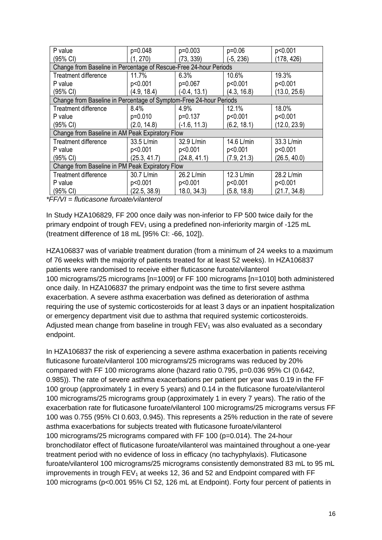| P value                                                            | p=0.048      | $p=0.003$      | $p=0.06$    | p<0.001      |  |  |  |
|--------------------------------------------------------------------|--------------|----------------|-------------|--------------|--|--|--|
| (95% CI)                                                           | (1, 270)     | (73, 339)      | $(-5, 236)$ | (178, 426)   |  |  |  |
| Change from Baseline in Percentage of Rescue-Free 24-hour Periods  |              |                |             |              |  |  |  |
| <b>Treatment difference</b>                                        | 11.7%        | 6.3%           | 10.6%       | 19.3%        |  |  |  |
| P value                                                            | p<0.001      | $p=0.067$      | p<0.001     | p<0.001      |  |  |  |
| (95% CI)                                                           | (4.9, 18.4)  | $(-0.4, 13.1)$ | (4.3, 16.8) | (13.0, 25.6) |  |  |  |
| Change from Baseline in Percentage of Symptom-Free 24-hour Periods |              |                |             |              |  |  |  |
| <b>Treatment difference</b>                                        | 8.4%         | 4.9%           | 12.1%       | 18.0%        |  |  |  |
| P value                                                            | p=0.010      | p=0.137        | p<0.001     | p<0.001      |  |  |  |
| (95% CI)                                                           | (2.0, 14.8)  | $(-1.6, 11.3)$ | (6.2, 18.1) | (12.0, 23.9) |  |  |  |
| Change from Baseline in AM Peak Expiratory Flow                    |              |                |             |              |  |  |  |
| <b>Treatment difference</b>                                        | 33.5 L/min   | 32.9 L/min     | 14.6 L/min  | 33.3 L/min   |  |  |  |
| P value                                                            | p<0.001      | p<0.001        | p<0.001     | p<0.001      |  |  |  |
| (95% CI)                                                           | (25.3, 41.7) | (24.8, 41.1)   | (7.9, 21.3) | (26.5, 40.0) |  |  |  |
| Change from Baseline in PM Peak Expiratory Flow                    |              |                |             |              |  |  |  |
| <b>Treatment difference</b>                                        | 30.7 L/min   | 26.2 L/min     | 12.3 L/min  | 28.2 L/min   |  |  |  |
| P value                                                            | p<0.001      | p<0.001        | p<0.001     | p<0.001      |  |  |  |
| $(95% \text{ Cl})$                                                 | (22.5, 38.9) | 18.0, 34.3     | (5.8, 18.8) | (21.7, 34.8) |  |  |  |

*\*FF/VI = fluticasone furoate/vilanterol*

In Study HZA106829, FF 200 once daily was non-inferior to FP 500 twice daily for the primary endpoint of trough  $FEV_1$  using a predefined non-inferiority margin of -125 mL (treatment difference of 18 mL [95% CI: -66, 102]).

HZA106837 was of variable treatment duration (from a minimum of 24 weeks to a maximum of 76 weeks with the majority of patients treated for at least 52 weeks). In HZA106837 patients were randomised to receive either fluticasone furoate/vilanterol 100 micrograms/25 micrograms [n=1009] or FF 100 micrograms [n=1010] both administered once daily. In HZA106837 the primary endpoint was the time to first severe asthma exacerbation. A severe asthma exacerbation was defined as deterioration of asthma requiring the use of systemic corticosteroids for at least 3 days or an inpatient hospitalization or emergency department visit due to asthma that required systemic corticosteroids. Adjusted mean change from baseline in trough  $FEV<sub>1</sub>$  was also evaluated as a secondary endpoint.

In HZA106837 the risk of experiencing a severe asthma exacerbation in patients receiving fluticasone furoate/vilanterol 100 micrograms/25 micrograms was reduced by 20% compared with FF 100 micrograms alone (hazard ratio 0.795, p=0.036 95% CI (0.642, 0.985)). The rate of severe asthma exacerbations per patient per year was 0.19 in the FF 100 group (approximately 1 in every 5 years) and 0.14 in the fluticasone furoate/vilanterol 100 micrograms/25 micrograms group (approximately 1 in every 7 years). The ratio of the exacerbation rate for fluticasone furoate/vilanterol 100 micrograms/25 micrograms versus FF 100 was 0.755 (95% CI 0.603, 0.945). This represents a 25% reduction in the rate of severe asthma exacerbations for subjects treated with fluticasone furoate/vilanterol 100 micrograms/25 micrograms compared with FF 100 (p=0.014). The 24-hour bronchodilator effect of fluticasone furoate/vilanterol was maintained throughout a one-year treatment period with no evidence of loss in efficacy (no tachyphylaxis). Fluticasone furoate/vilanterol 100 micrograms/25 micrograms consistently demonstrated 83 mL to 95 mL improvements in trough  $FEV<sub>1</sub>$  at weeks 12, 36 and 52 and Endpoint compared with FF 100 micrograms (p<0.001 95% CI 52, 126 mL at Endpoint). Forty four percent of patients in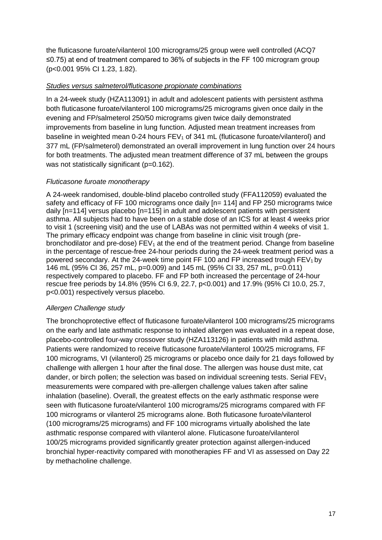the fluticasone furoate/vilanterol 100 micrograms/25 group were well controlled (ACQ7 ≤0.75) at end of treatment compared to 36% of subjects in the FF 100 microgram group (p<0.001 95% CI 1.23, 1.82).

### *Studies versus salmeterol/fluticasone propionate combinations*

In a 24-week study (HZA113091) in adult and adolescent patients with persistent asthma both fluticasone furoate/vilanterol 100 micrograms/25 micrograms given once daily in the evening and FP/salmeterol 250/50 micrograms given twice daily demonstrated improvements from baseline in lung function. Adjusted mean treatment increases from baseline in weighted mean 0-24 hours  $FEV<sub>1</sub>$  of 341 mL (fluticasone furoate/vilanterol) and 377 mL (FP/salmeterol) demonstrated an overall improvement in lung function over 24 hours for both treatments. The adjusted mean treatment difference of 37 mL between the groups was not statistically significant (p=0.162).

### *Fluticasone furoate monotherapy*

A 24-week randomised, double-blind placebo controlled study (FFA112059) evaluated the safety and efficacy of FF 100 micrograms once daily [n= 114] and FP 250 micrograms twice daily [n=114] versus placebo [n=115] in adult and adolescent patients with persistent asthma. All subjects had to have been on a stable dose of an ICS for at least 4 weeks prior to visit 1 (screening visit) and the use of LABAs was not permitted within 4 weeks of visit 1. The primary efficacy endpoint was change from baseline in clinic visit trough (prebronchodilator and pre-dose)  $FEV<sub>1</sub>$  at the end of the treatment period. Change from baseline in the percentage of rescue-free 24-hour periods during the 24-week treatment period was a powered secondary. At the 24-week time point FF 100 and FP increased trough  $FEV<sub>1</sub>$  by 146 mL (95% CI 36, 257 mL, p=0.009) and 145 mL (95% CI 33, 257 mL, p=0.011) respectively compared to placebo. FF and FP both increased the percentage of 24-hour rescue free periods by 14.8% (95% CI 6.9, 22.7, p<0.001) and 17.9% (95% CI 10.0, 25.7, p<0.001) respectively versus placebo.

#### *Allergen Challenge study*

The bronchoprotective effect of fluticasone furoate/vilanterol 100 micrograms/25 micrograms on the early and late asthmatic response to inhaled allergen was evaluated in a repeat dose, placebo-controlled four-way crossover study (HZA113126) in patients with mild asthma. Patients were randomized to receive fluticasone furoate/vilanterol 100/25 micrograms, FF 100 micrograms, VI (vilanterol) 25 micrograms or placebo once daily for 21 days followed by challenge with allergen 1 hour after the final dose. The allergen was house dust mite, cat dander, or birch pollen; the selection was based on individual screening tests. Serial  $FEV<sub>1</sub>$ measurements were compared with pre-allergen challenge values taken after saline inhalation (baseline). Overall, the greatest effects on the early asthmatic response were seen with fluticasone furoate/vilanterol 100 micrograms/25 micrograms compared with FF 100 micrograms or vilanterol 25 micrograms alone. Both fluticasone furoate/vilanterol (100 micrograms/25 micrograms) and FF 100 micrograms virtually abolished the late asthmatic response compared with vilanterol alone. Fluticasone furoate/vilanterol 100/25 micrograms provided significantly greater protection against allergen-induced bronchial hyper-reactivity compared with monotherapies FF and VI as assessed on Day 22 by methacholine challenge.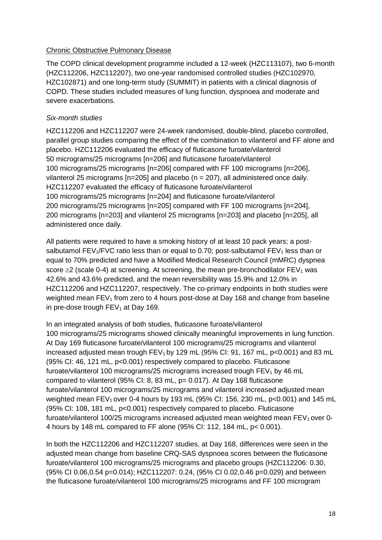#### Chronic Obstructive Pulmonary Disease

The COPD clinical development programme included a 12-week (HZC113107), two 6-month (HZC112206, HZC112207), two one-year randomised controlled studies (HZC102970, HZC102871) and one long-term study (SUMMIT) in patients with a clinical diagnosis of COPD. These studies included measures of lung function, dyspnoea and moderate and severe exacerbations.

## *Six-month studies*

HZC112206 and HZC112207 were 24-week randomised, double-blind, placebo controlled, parallel group studies comparing the effect of the combination to vilanterol and FF alone and placebo. HZC112206 evaluated the efficacy of fluticasone furoate/vilanterol 50 micrograms/25 micrograms [n=206] and fluticasone furoate/vilanterol 100 micrograms/25 micrograms [n=206] compared with FF 100 micrograms [n=206], vilanterol 25 micrograms [n=205] and placebo (n = 207), all administered once daily. HZC112207 evaluated the efficacy of fluticasone furoate/vilanterol 100 micrograms/25 micrograms [n=204] and fluticasone furoate/vilanterol 200 micrograms/25 micrograms [n=205] compared with FF 100 micrograms [n=204], 200 micrograms [n=203] and vilanterol 25 micrograms [n=203] and placebo [n=205], all administered once daily.

All patients were required to have a smoking history of at least 10 pack years; a postsalbutamol FEV<sub>1</sub>/FVC ratio less than or equal to 0.70; post-salbutamol FEV<sub>1</sub> less than or equal to 70% predicted and have a Modified Medical Research Council (mMRC) dyspnea score  $\geq$  (scale 0-4) at screening. At screening, the mean pre-bronchodilator FEV<sub>1</sub> was 42.6% and 43.6% predicted, and the mean reversibility was 15.9% and 12.0% in HZC112206 and HZC112207, respectively. The co-primary endpoints in both studies were weighted mean FEV<sub>1</sub> from zero to 4 hours post-dose at Day 168 and change from baseline in pre-dose trough  $FEV<sub>1</sub>$  at Day 169.

In an integrated analysis of both studies, fluticasone furoate/vilanterol 100 micrograms/25 micrograms showed clinically meaningful improvements in lung function. At Day 169 fluticasone furoate/vilanterol 100 micrograms/25 micrograms and vilanterol increased adjusted mean trough  $FEV<sub>1</sub>$  by 129 mL (95% CI: 91, 167 mL, p<0.001) and 83 mL (95% CI: 46, 121 mL, p<0.001) respectively compared to placebo. Fluticasone furoate/vilanterol 100 micrograms/25 micrograms increased trough  $FEV<sub>1</sub>$  by 46 mL compared to vilanterol (95% CI: 8, 83 mL, p= 0.017). At Day 168 fluticasone furoate/vilanterol 100 micrograms/25 micrograms and vilanterol increased adjusted mean weighted mean FEV<sub>1</sub> over 0-4 hours by 193 mL (95% CI: 156, 230 mL,  $p < 0.001$ ) and 145 mL (95% CI: 108, 181 mL, p<0.001) respectively compared to placebo. Fluticasone furoate/vilanterol 100/25 micrograms increased adjusted mean weighted mean  $FEV<sub>1</sub>$  over 0-4 hours by 148 mL compared to FF alone (95% CI: 112, 184 mL, p< 0.001).

In both the HZC112206 and HZC112207 studies, at Day 168, differences were seen in the adjusted mean change from baseline CRQ-SAS dyspnoea scores between the fluticasone furoate/vilanterol 100 micrograms/25 micrograms and placebo groups (HZC112206: 0.30, (95% CI 0.06,0.54 p=0.014); HZC112207: 0.24, (95% CI 0.02,0.46 p=0.029) and between the fluticasone furoate/vilanterol 100 micrograms/25 micrograms and FF 100 microgram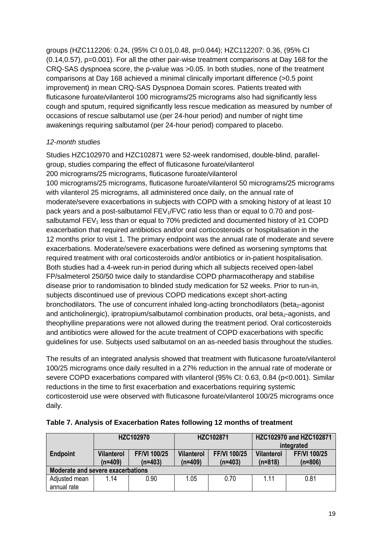groups (HZC112206: 0.24, (95% CI 0.01,0.48, p=0.044); HZC112207: 0.36, (95% CI (0.14,0.57), p=0.001). For all the other pair-wise treatment comparisons at Day 168 for the CRQ-SAS dyspnoea score, the p-value was >0.05. In both studies, none of the treatment comparisons at Day 168 achieved a minimal clinically important difference (>0.5 point improvement) in mean CRQ-SAS Dyspnoea Domain scores. Patients treated with fluticasone furoate/vilanterol 100 micrograms/25 micrograms also had significantly less cough and sputum, required significantly less rescue medication as measured by number of occasions of rescue salbutamol use (per 24-hour period) and number of night time awakenings requiring salbutamol (per 24-hour period) compared to placebo.

## *12-month studies*

Studies HZC102970 and HZC102871 were 52-week randomised, double-blind, parallelgroup, studies comparing the effect of fluticasone furoate/vilanterol 200 micrograms/25 micrograms, fluticasone furoate/vilanterol 100 micrograms/25 micrograms, fluticasone furoate/vilanterol 50 micrograms/25 micrograms with vilanterol 25 micrograms, all administered once daily, on the annual rate of moderate/severe exacerbations in subjects with COPD with a smoking history of at least 10 pack years and a post-salbutamol FEV<sub>1</sub>/FVC ratio less than or equal to 0.70 and postsalbutamol FEV<sub>1</sub> less than or equal to 70% predicted and documented history of ≥1 COPD exacerbation that required antibiotics and/or oral corticosteroids or hospitalisation in the 12 months prior to visit 1. The primary endpoint was the annual rate of moderate and severe exacerbations. Moderate/severe exacerbations were defined as worsening symptoms that required treatment with oral corticosteroids and/or antibiotics or in-patient hospitalisation. Both studies had a 4-week run-in period during which all subjects received open-label FP/salmeterol 250/50 twice daily to standardise COPD pharmacotherapy and stabilise disease prior to randomisation to blinded study medication for 52 weeks. Prior to run-in, subjects discontinued use of previous COPD medications except short-acting bronchodilators. The use of concurrent inhaled long-acting bronchodilators (beta $_2$ -agonist and anticholinergic), ipratropium/salbutamol combination products, oral beta $_2$ -agonists, and theophylline preparations were not allowed during the treatment period. Oral corticosteroids and antibiotics were allowed for the acute treatment of COPD exacerbations with specific guidelines for use. Subjects used salbutamol on an as-needed basis throughout the studies.

The results of an integrated analysis showed that treatment with fluticasone furoate/vilanterol 100/25 micrograms once daily resulted in a 27% reduction in the annual rate of moderate or severe COPD exacerbations compared with vilanterol (95% CI: 0.63, 0.84 (p<0.001). Similar reductions in the time to first exacerbation and exacerbations requiring systemic corticosteroid use were observed with fluticasone furoate/vilanterol 100/25 micrograms once daily.

|                              |                                   | <b>HZC102970</b>                 |                                | HZC102871                 |                                | HZC102970 and HZC102871<br>integrated |  |
|------------------------------|-----------------------------------|----------------------------------|--------------------------------|---------------------------|--------------------------------|---------------------------------------|--|
| <b>Endpoint</b>              | <b>Vilanterol</b><br>$(n=409)$    | <b>FF/VI 100/25</b><br>$(n=403)$ | <b>Vilanterol</b><br>$(n=409)$ | FF/VI 100/25<br>$(n=403)$ | <b>Vilanterol</b><br>$(n=818)$ | <b>FF/VI 100/25</b><br>$(n=806)$      |  |
|                              | Moderate and severe exacerbations |                                  |                                |                           |                                |                                       |  |
| Adjusted mean<br>annual rate | 1 14                              | 0.90                             | 1.05                           | 0.70                      | 1 1 1                          | 0.81                                  |  |

| Table 7. Analysis of Exacerbation Rates following 12 months of treatment |  |  |
|--------------------------------------------------------------------------|--|--|
|                                                                          |  |  |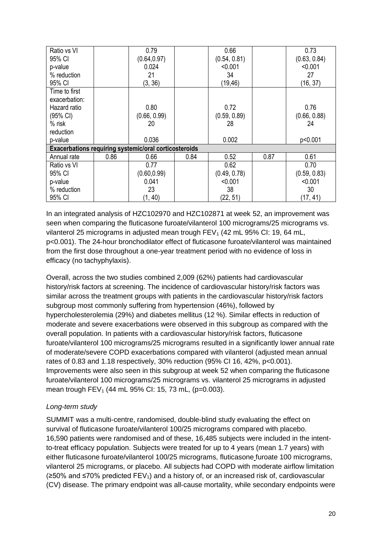| Ratio vs VI                                           |      | 0.79         |      | 0.66         |      | 0.73         |
|-------------------------------------------------------|------|--------------|------|--------------|------|--------------|
| 95% CI                                                |      | (0.64, 0.97) |      | (0.54, 0.81) |      | (0.63, 0.84) |
| p-value                                               |      | 0.024        |      | < 0.001      |      | < 0.001      |
| % reduction                                           |      | 21           |      | 34           |      | 27           |
| 95% CI                                                |      | (3, 36)      |      | (19, 46)     |      | (16, 37)     |
| Time to first                                         |      |              |      |              |      |              |
| exacerbation:                                         |      |              |      |              |      |              |
| Hazard ratio                                          |      | 0.80         |      | 0.72         |      | 0.76         |
| (95% CI)                                              |      | (0.66, 0.99) |      | (0.59, 0.89) |      | (0.66, 0.88) |
| % risk                                                |      | 20           |      | 28           |      | 24           |
| reduction                                             |      |              |      |              |      |              |
| p-value                                               |      | 0.036        |      | 0.002        |      | p<0.001      |
| Exacerbations requiring systemic/oral corticosteroids |      |              |      |              |      |              |
| Annual rate                                           | 0.86 | 0.66         | 0.84 | 0.52         | 0.87 | 0.61         |
| Ratio vs VI                                           |      | 0.77         |      | 0.62         |      | 0.70         |
| 95% CI                                                |      | (0.60, 0.99) |      | (0.49, 0.78) |      | (0.59, 0.83) |
| p-value                                               |      | 0.041        |      | < 0.001      |      | < 0.001      |
| % reduction                                           |      | 23           |      | 38           |      | 30           |
| 95% CI                                                |      | (1, 40)      |      | (22, 51)     |      | (17, 41)     |

In an integrated analysis of HZC102970 and HZC102871 at week 52, an improvement was seen when comparing the fluticasone furoate/vilanterol 100 micrograms/25 micrograms vs. vilanterol 25 micrograms in adjusted mean trough  $FEV<sub>1</sub>$  (42 mL 95% CI: 19, 64 mL, p<0.001). The 24-hour bronchodilator effect of fluticasone furoate/vilanterol was maintained from the first dose throughout a one-year treatment period with no evidence of loss in efficacy (no tachyphylaxis).

Overall, across the two studies combined 2,009 (62%) patients had cardiovascular history/risk factors at screening. The incidence of cardiovascular history/risk factors was similar across the treatment groups with patients in the cardiovascular history/risk factors subgroup most commonly suffering from hypertension (46%), followed by hypercholesterolemia (29%) and diabetes mellitus (12 %). Similar effects in reduction of moderate and severe exacerbations were observed in this subgroup as compared with the overall population. In patients with a cardiovascular history/risk factors, fluticasone furoate/vilanterol 100 micrograms/25 micrograms resulted in a significantly lower annual rate of moderate/severe COPD exacerbations compared with vilanterol (adjusted mean annual rates of 0.83 and 1.18 respectively, 30% reduction (95% CI 16, 42%, p<0.001). Improvements were also seen in this subgroup at week 52 when comparing the fluticasone furoate/vilanterol 100 micrograms/25 micrograms vs. vilanterol 25 micrograms in adjusted mean trough  $FEV_1$  (44 mL 95% CI: 15, 73 mL, (p=0.003).

## *Long-term study*

SUMMIT was a multi-centre, randomised, double-blind study evaluating the effect on survival of fluticasone furoate/vilanterol 100/25 micrograms compared with placebo. 16,590 patients were randomised and of these, 16,485 subjects were included in the intentto-treat efficacy population. Subjects were treated for up to 4 years (mean 1.7 years) with either fluticasone furoate/vilanterol 100/25 micrograms, fluticasone furoate 100 micrograms, vilanterol 25 micrograms, or placebo. All subjects had COPD with moderate airflow limitation  $(\geq 50\%$  and  $\leq 70\%$  predicted FEV<sub>1</sub>) and a history of, or an increased risk of, cardiovascular (CV) disease. The primary endpoint was all-cause mortality, while secondary endpoints were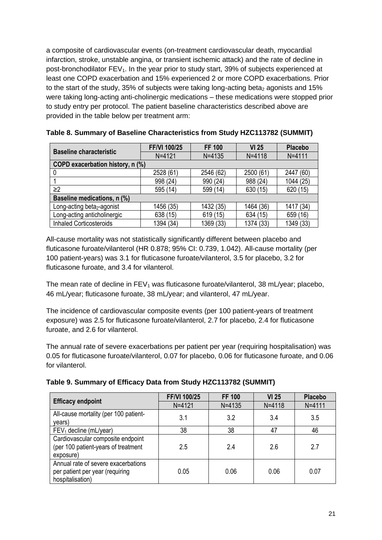a composite of cardiovascular events (on-treatment cardiovascular death, myocardial infarction, stroke, unstable angina, or transient ischemic attack) and the rate of decline in post-bronchodilator  $FEV<sub>1</sub>$ . In the year prior to study start, 39% of subjects experienced at least one COPD exacerbation and 15% experienced 2 or more COPD exacerbations. Prior to the start of the study, 35% of subjects were taking long-acting beta<sub>2</sub> agonists and 15% were taking long-acting anti-cholinergic medications – these medications were stopped prior to study entry per protocol. The patient baseline characteristics described above are provided in the table below per treatment arm:

| <b>Baseline characteristic</b>         | FF/VI 100/25 | <b>FF 100</b> | <b>VI 25</b> | <b>Placebo</b> |
|----------------------------------------|--------------|---------------|--------------|----------------|
|                                        | $N = 4121$   | $N = 4135$    | $N = 4118$   | $N = 4111$     |
| COPD exacerbation history, n (%)       |              |               |              |                |
|                                        | 2528 (61)    | 2546 (62)     | 2500 (61)    | 2447 (60)      |
|                                        | 998 (24)     | 990 (24)      | 988 (24)     | 1044 (25)      |
| $\geq$ 2                               | 595 (14)     | 599 (14)      | 630 (15)     | 620 (15)       |
| Baseline medications, n (%)            |              |               |              |                |
| Long-acting beta <sub>2</sub> -agonist | 1456 (35)    | 1432 (35)     | 1464 (36)    | 1417 (34)      |
| Long-acting anticholinergic            | 638 (15)     | 619 (15)      | 634 (15)     | 659 (16)       |
| <b>Inhaled Corticosteroids</b>         | 1394 (34)    | 1369 (33)     | 1374 (33)    | 1349 (33)      |

**Table 8. Summary of Baseline Characteristics from Study HZC113782 (SUMMIT)**

All-cause mortality was not statistically significantly different between placebo and fluticasone furoate/vilanterol (HR 0.878; 95% CI: 0.739, 1.042). All-cause mortality (per 100 patient-years) was 3.1 for fluticasone furoate/vilanterol, 3.5 for placebo, 3.2 for fluticasone furoate, and 3.4 for vilanterol.

The mean rate of decline in  $FEV_1$  was fluticasone furoate/vilanterol, 38 mL/year; placebo, 46 mL/year; fluticasone furoate, 38 mL/year; and vilanterol, 47 mL/year.

The incidence of cardiovascular composite events (per 100 patient-years of treatment exposure) was 2.5 for fluticasone furoate/vilanterol, 2.7 for placebo, 2.4 for fluticasone furoate, and 2.6 for vilanterol.

The annual rate of severe exacerbations per patient per year (requiring hospitalisation) was 0.05 for fluticasone furoate/vilanterol, 0.07 for placebo, 0.06 for fluticasone furoate, and 0.06 for vilanterol.

|                                                                                            | <b>FF/VI 100/25</b> | <b>FF 100</b> | <b>VI 25</b> | <b>Placebo</b> |
|--------------------------------------------------------------------------------------------|---------------------|---------------|--------------|----------------|
| <b>Efficacy endpoint</b>                                                                   | $N = 4121$          | $N = 4135$    | $N = 4118$   | $N = 4111$     |
| All-cause mortality (per 100 patient-<br>years)                                            | 3.1                 | 3.2           | 3.4          | 3.5            |
| $FEV1$ decline (mL/year)                                                                   | 38                  | 38            | 47           | 46             |
| Cardiovascular composite endpoint<br>(per 100 patient-years of treatment<br>exposure)      | 2.5                 | 2.4           | 2.6          | 2.7            |
| Annual rate of severe exacerbations<br>per patient per year (requiring<br>hospitalisation) | 0.05                | 0.06          | 0.06         | 0.07           |

**Table 9. Summary of Efficacy Data from Study HZC113782 (SUMMIT)**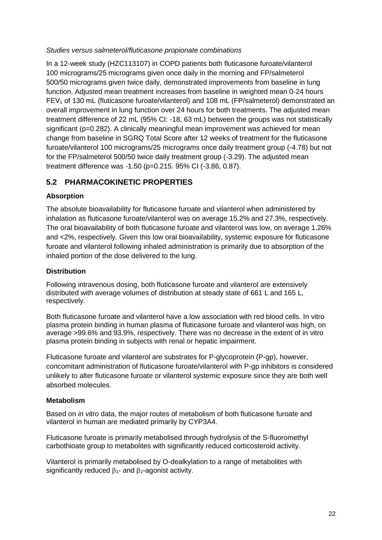#### *Studies versus salmeterol/fluticasone propionate combinations*

In a 12-week study (HZC113107) in COPD patients both fluticasone furoate/vilanterol 100 micrograms/25 micrograms given once daily in the morning and FP/salmeterol 500/50 micrograms given twice daily, demonstrated improvements from baseline in lung function. Adjusted mean treatment increases from baseline in weighted mean 0-24 hours  $FEV<sub>1</sub>$  of 130 mL (fluticasone furoate/vilanterol) and 108 mL (FP/salmeterol) demonstrated an overall improvement in lung function over 24 hours for both treatments. The adjusted mean treatment difference of 22 mL (95% CI: -18, 63 mL) between the groups was not statistically significant (p=0.282). A clinically meaningful mean improvement was achieved for mean change from baseline in SGRQ Total Score after 12 weeks of treatment for the fluticasone furoate/vilanterol 100 micrograms/25 micrograms once daily treatment group (-4.78) but not for the FP/salmeterol 500/50 twice daily treatment group (-3.29). The adjusted mean treatment difference was -1.50 (p=0.215. 95% CI (-3.86, 0.87).

## **5.2 PHARMACOKINETIC PROPERTIES**

## **Absorption**

The absolute bioavailability for fluticasone furoate and vilanterol when administered by inhalation as fluticasone furoate/vilanterol was on average 15.2% and 27.3%, respectively. The oral bioavailability of both fluticasone furoate and vilanterol was low, on average 1.26% and <2%, respectively. Given this low oral bioavailability, systemic exposure for fluticasone furoate and vilanterol following inhaled administration is primarily due to absorption of the inhaled portion of the dose delivered to the lung.

## **Distribution**

Following intravenous dosing, both fluticasone furoate and vilanterol are extensively distributed with average volumes of distribution at steady state of 661 L and 165 L, respectively.

Both fluticasone furoate and vilanterol have a low association with red blood cells. In vitro plasma protein binding in human plasma of fluticasone furoate and vilanterol was high, on average >99.6% and 93.9%, respectively. There was no decrease in the extent of in vitro plasma protein binding in subjects with renal or hepatic impairment.

Fluticasone furoate and vilanterol are substrates for P-glycoprotein (P-gp), however, concomitant administration of fluticasone furoate/vilanterol with P-gp inhibitors is considered unlikely to alter fluticasone furoate or vilanterol systemic exposure since they are both well absorbed molecules.

## **Metabolism**

Based on *in vitro* data, the major routes of metabolism of both fluticasone furoate and vilanterol in human are mediated primarily by CYP3A4.

Fluticasone furoate is primarily metabolised through hydrolysis of the S-fluoromethyl carbothioate group to metabolites with significantly reduced corticosteroid activity.

Vilanterol is primarily metabolised by O-dealkylation to a range of metabolites with significantly reduced  $\beta_1$ - and  $\beta_2$ -agonist activity.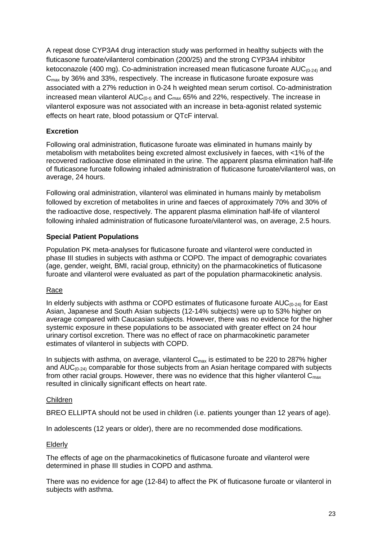A repeat dose CYP3A4 drug interaction study was performed in healthy subjects with the fluticasone furoate/vilanterol combination (200/25) and the strong CYP3A4 inhibitor ketoconazole (400 mg). Co-administration increased mean fluticasone furoate  $AUC_{(0-24)}$  and  $C<sub>max</sub>$  by 36% and 33%, respectively. The increase in fluticasone furoate exposure was associated with a 27% reduction in 0-24 h weighted mean serum cortisol. Co-administration increased mean vilanterol  $AUC_{(0.1)}$  and  $C_{\text{max}}$  65% and 22%, respectively. The increase in vilanterol exposure was not associated with an increase in beta-agonist related systemic effects on heart rate, blood potassium or QTcF interval.

## **Excretion**

Following oral administration, fluticasone furoate was eliminated in humans mainly by metabolism with metabolites being excreted almost exclusively in faeces, with <1% of the recovered radioactive dose eliminated in the urine. The apparent plasma elimination half-life of fluticasone furoate following inhaled administration of fluticasone furoate/vilanterol was, on average, 24 hours.

Following oral administration, vilanterol was eliminated in humans mainly by metabolism followed by excretion of metabolites in urine and faeces of approximately 70% and 30% of the radioactive dose, respectively. The apparent plasma elimination half-life of vilanterol following inhaled administration of fluticasone furoate/vilanterol was, on average, 2.5 hours.

### **Special Patient Populations**

Population PK meta-analyses for fluticasone furoate and vilanterol were conducted in phase III studies in subjects with asthma or COPD. The impact of demographic covariates (age, gender, weight, BMI, racial group, ethnicity) on the pharmacokinetics of fluticasone furoate and vilanterol were evaluated as part of the population pharmacokinetic analysis.

#### Race

In elderly subjects with asthma or COPD estimates of fluticasone furoate  $AUC_{(0-24)}$  for East Asian, Japanese and South Asian subjects (12-14% subjects) were up to 53% higher on average compared with Caucasian subjects. However, there was no evidence for the higher systemic exposure in these populations to be associated with greater effect on 24 hour urinary cortisol excretion. There was no effect of race on pharmacokinetic parameter estimates of vilanterol in subjects with COPD.

In subjects with asthma, on average, vilanterol  $C_{\text{max}}$  is estimated to be 220 to 287% higher and  $AUC_{(0-24)}$  comparable for those subjects from an Asian heritage compared with subjects from other racial groups. However, there was no evidence that this higher vilanterol  $C_{\text{max}}$ resulted in clinically significant effects on heart rate.

#### Children

BREO ELLIPTA should not be used in children (i.e. patients younger than 12 years of age).

In adolescents (12 years or older), there are no recommended dose modifications.

#### Elderly

The effects of age on the pharmacokinetics of fluticasone furoate and vilanterol were determined in phase III studies in COPD and asthma.

There was no evidence for age (12-84) to affect the PK of fluticasone furoate or vilanterol in subjects with asthma.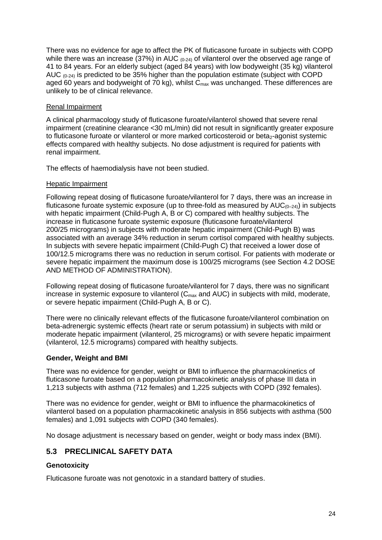There was no evidence for age to affect the PK of fluticasone furoate in subjects with COPD while there was an increase (37%) in AUC  $_{(0-24)}$  of vilanterol over the observed age range of 41 to 84 years. For an elderly subject (aged 84 years) with low bodyweight (35 kg) vilanterol AUC  $(0.24)$  is predicted to be 35% higher than the population estimate (subject with COPD aged 60 years and bodyweight of  $70$  kg), whilst  $C_{\text{max}}$  was unchanged. These differences are unlikely to be of clinical relevance.

#### Renal Impairment

A clinical pharmacology study of fluticasone furoate/vilanterol showed that severe renal impairment (creatinine clearance <30 mL/min) did not result in significantly greater exposure to fluticasone furoate or vilanterol or more marked corticosteroid or beta<sub>2</sub>-agonist systemic effects compared with healthy subjects. No dose adjustment is required for patients with renal impairment.

The effects of haemodialysis have not been studied.

### Hepatic Impairment

Following repeat dosing of fluticasone furoate/vilanterol for 7 days, there was an increase in fluticasone furoate systemic exposure (up to three-fold as measured by  $AUC_{(0-24)}$ ) in subjects with hepatic impairment (Child-Pugh A, B or C) compared with healthy subjects. The increase in fluticasone furoate systemic exposure (fluticasone furoate/vilanterol 200/25 micrograms) in subjects with moderate hepatic impairment (Child-Pugh B) was associated with an average 34% reduction in serum cortisol compared with healthy subjects. In subjects with severe hepatic impairment (Child-Pugh C) that received a lower dose of 100/12.5 micrograms there was no reduction in serum cortisol. For patients with moderate or severe hepatic impairment the maximum dose is 100/25 micrograms (see Section 4.2 DOSE AND METHOD OF ADMINISTRATION).

Following repeat dosing of fluticasone furoate/vilanterol for 7 days, there was no significant increase in systemic exposure to vilanterol  $(C_{\text{max}}$  and AUC) in subjects with mild, moderate, or severe hepatic impairment (Child-Pugh A, B or C).

There were no clinically relevant effects of the fluticasone furoate/vilanterol combination on beta-adrenergic systemic effects (heart rate or serum potassium) in subjects with mild or moderate hepatic impairment (vilanterol, 25 micrograms) or with severe hepatic impairment (vilanterol, 12.5 micrograms) compared with healthy subjects.

## **Gender, Weight and BMI**

There was no evidence for gender, weight or BMI to influence the pharmacokinetics of fluticasone furoate based on a population pharmacokinetic analysis of phase III data in 1,213 subjects with asthma (712 females) and 1,225 subjects with COPD (392 females).

There was no evidence for gender, weight or BMI to influence the pharmacokinetics of vilanterol based on a population pharmacokinetic analysis in 856 subjects with asthma (500 females) and 1,091 subjects with COPD (340 females).

No dosage adjustment is necessary based on gender, weight or body mass index (BMI).

## **5.3 PRECLINICAL SAFETY DATA**

## **Genotoxicity**

Fluticasone furoate was not genotoxic in a standard battery of studies.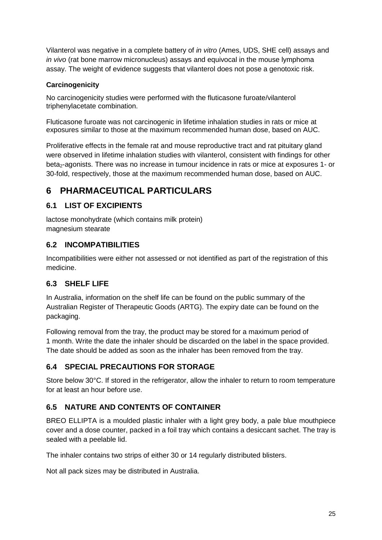Vilanterol was negative in a complete battery of *in vitro* (Ames, UDS, SHE cell) assays and *in vivo* (rat bone marrow micronucleus) assays and equivocal in the mouse lymphoma assay. The weight of evidence suggests that vilanterol does not pose a genotoxic risk.

## **Carcinogenicity**

No carcinogenicity studies were performed with the fluticasone furoate/vilanterol triphenylacetate combination.

Fluticasone furoate was not carcinogenic in lifetime inhalation studies in rats or mice at exposures similar to those at the maximum recommended human dose, based on AUC.

Proliferative effects in the female rat and mouse reproductive tract and rat pituitary gland were observed in lifetime inhalation studies with vilanterol, consistent with findings for other beta<sub>2</sub>-agonists. There was no increase in tumour incidence in rats or mice at exposures 1- or 30-fold, respectively, those at the maximum recommended human dose, based on AUC.

# **6 PHARMACEUTICAL PARTICULARS**

## **6.1 LIST OF EXCIPIENTS**

lactose monohydrate (which contains milk protein) magnesium stearate

## **6.2 INCOMPATIBILITIES**

Incompatibilities were either not assessed or not identified as part of the registration of this medicine.

## **6.3 SHELF LIFE**

In Australia, information on the shelf life can be found on the public summary of the Australian Register of Therapeutic Goods (ARTG). The expiry date can be found on the packaging.

Following removal from the tray, the product may be stored for a maximum period of 1 month. Write the date the inhaler should be discarded on the label in the space provided. The date should be added as soon as the inhaler has been removed from the tray.

## **6.4 SPECIAL PRECAUTIONS FOR STORAGE**

Store below 30°C. If stored in the refrigerator, allow the inhaler to return to room temperature for at least an hour before use.

## **6.5 NATURE AND CONTENTS OF CONTAINER**

BREO ELLIPTA is a moulded plastic inhaler with a light grey body, a pale blue mouthpiece cover and a dose counter, packed in a foil tray which contains a desiccant sachet. The tray is sealed with a peelable lid.

The inhaler contains two strips of either 30 or 14 regularly distributed blisters.

Not all pack sizes may be distributed in Australia.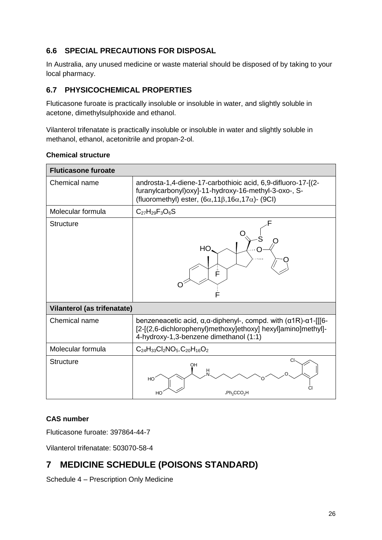## **6.6 SPECIAL PRECAUTIONS FOR DISPOSAL**

In Australia, any unused medicine or waste material should be disposed of by taking to your local pharmacy.

## **6.7 PHYSICOCHEMICAL PROPERTIES**

Fluticasone furoate is practically insoluble or insoluble in water, and slightly soluble in acetone, dimethylsulphoxide and ethanol.

Vilanterol trifenatate is practically insoluble or insoluble in water and slightly soluble in methanol, ethanol, acetonitrile and propan-2-ol.

| <b>Fluticasone furoate</b>  |                                                                                                                                                                                                           |
|-----------------------------|-----------------------------------------------------------------------------------------------------------------------------------------------------------------------------------------------------------|
| Chemical name               | androsta-1,4-diene-17-carbothioic acid, 6,9-difluoro-17-[(2-<br>furanylcarbonyl) oxy]-11-hydroxy-16-methyl-3-oxo-, S-<br>(fluoromethyl) ester, $(6\alpha, 11\beta, 16\alpha, 17\alpha)$ - (9CI)           |
| Molecular formula           | $C_{27}H_{29}F_{3}O_{6}S$                                                                                                                                                                                 |
| Structure                   | HО<br>Ė<br>F                                                                                                                                                                                              |
| Vilanterol (as trifenatate) |                                                                                                                                                                                                           |
| Chemical name               | benzeneacetic acid, $\alpha$ , $\alpha$ -diphenyl-, compd. with $(\alpha$ 1R)- $\alpha$ 1-[[[6-<br>[2-[(2,6-dichlorophenyl)methoxy]ethoxy] hexyl]amino]methyl]-<br>4-hydroxy-1,3-benzene dimethanol (1:1) |
| Molecular formula           | $C_{24}H_{33}Cl_2NO_5.C_{20}H_{16}O_2$                                                                                                                                                                    |
| <b>Structure</b>            | СI<br>OН<br>HO<br>.Ph <sub>2</sub> CCO <sub>2</sub> H<br>HO                                                                                                                                               |

## **Chemical structure**

## **CAS number**

Fluticasone furoate: 397864-44-7

Vilanterol trifenatate: 503070-58-4

# **7 MEDICINE SCHEDULE (POISONS STANDARD)**

Schedule 4 – Prescription Only Medicine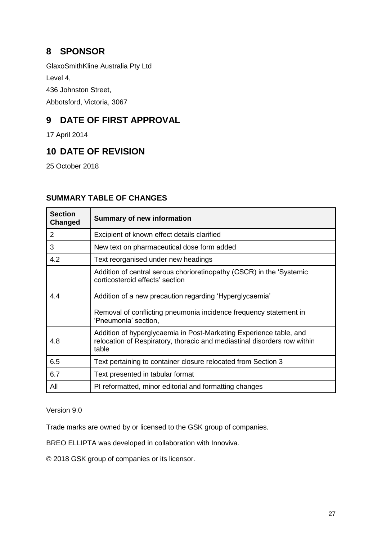# **8 SPONSOR**

GlaxoSmithKline Australia Pty Ltd

Level 4,

436 Johnston Street,

Abbotsford, Victoria, 3067

# **9 DATE OF FIRST APPROVAL**

17 April 2014

# **10 DATE OF REVISION**

25 October 2018

| <b>Section</b><br>Changed | <b>Summary of new information</b>                                                                                                                                                                                                                               |
|---------------------------|-----------------------------------------------------------------------------------------------------------------------------------------------------------------------------------------------------------------------------------------------------------------|
| 2                         | Excipient of known effect details clarified                                                                                                                                                                                                                     |
| 3                         | New text on pharmaceutical dose form added                                                                                                                                                                                                                      |
| 4.2                       | Text reorganised under new headings                                                                                                                                                                                                                             |
| 4.4                       | Addition of central serous chorioretinopathy (CSCR) in the 'Systemic<br>corticosteroid effects' section<br>Addition of a new precaution regarding 'Hyperglycaemia'<br>Removal of conflicting pneumonia incidence frequency statement in<br>'Pneumonia' section, |
| 4.8                       | Addition of hyperglycaemia in Post-Marketing Experience table, and<br>relocation of Respiratory, thoracic and mediastinal disorders row within<br>table                                                                                                         |
| 6.5                       | Text pertaining to container closure relocated from Section 3                                                                                                                                                                                                   |
| 6.7                       | Text presented in tabular format                                                                                                                                                                                                                                |
| All                       | PI reformatted, minor editorial and formatting changes                                                                                                                                                                                                          |

## **SUMMARY TABLE OF CHANGES**

Version 9.0

Trade marks are owned by or licensed to the GSK group of companies.

BREO ELLIPTA was developed in collaboration with Innoviva.

© 2018 GSK group of companies or its licensor.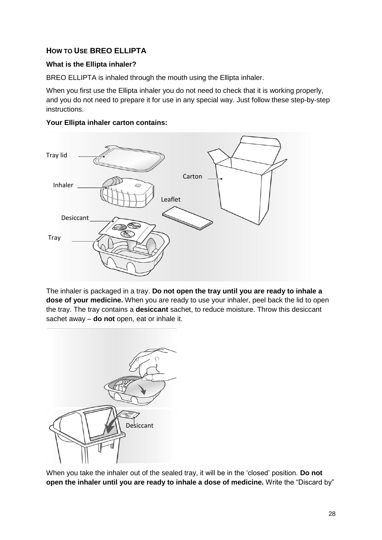## **HOW TO USE BREO ELLIPTA**

## **What is the Ellipta inhaler?**

BREO ELLIPTA is inhaled through the mouth using the Ellipta inhaler.

When you first use the Ellipta inhaler you do not need to check that it is working properly, and you do not need to prepare it for use in any special way. Just follow these step-by-step instructions.



#### **Your Ellipta inhaler carton contains:**

The inhaler is packaged in a tray. **Do not open the tray until you are ready to inhale a dose of your medicine.** When you are ready to use your inhaler, peel back the lid to open the tray. The tray contains a **desiccant** sachet, to reduce moisture. Throw this desiccant sachet away – **do not** open, eat or inhale it.



When you take the inhaler out of the sealed tray, it will be in the 'closed' position. **Do not open the inhaler until you are ready to inhale a dose of medicine.** Write the "Discard by"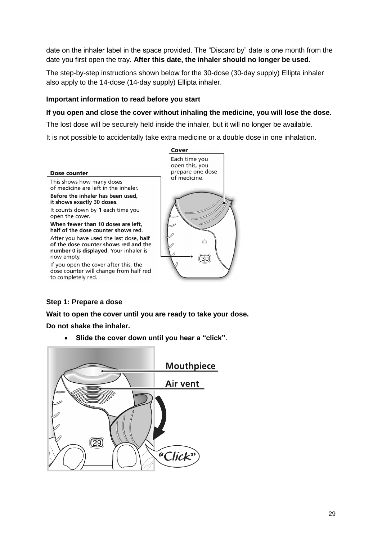date on the inhaler label in the space provided. The "Discard by" date is one month from the date you first open the tray. **After this date, the inhaler should no longer be used.**

The step-by-step instructions shown below for the 30-dose (30-day supply) Ellipta inhaler also apply to the 14-dose (14-day supply) Ellipta inhaler.

#### **Important information to read before you start**

#### **If you open and close the cover without inhaling the medicine, you will lose the dose.**

The lost dose will be securely held inside the inhaler, but it will no longer be available.

It is not possible to accidentally take extra medicine or a double dose in one inhalation.



#### **Step 1: Prepare a dose**

**Wait to open the cover until you are ready to take your dose.** 

**Do not shake the inhaler.**

• **Slide the cover down until you hear a "click".**

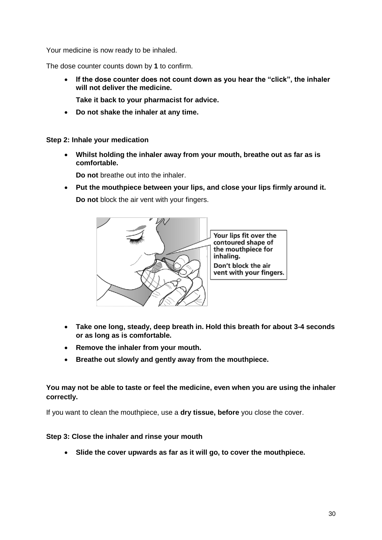Your medicine is now ready to be inhaled.

The dose counter counts down by **1** to confirm.

- **If the dose counter does not count down as you hear the "click", the inhaler will not deliver the medicine.**
	- **Take it back to your pharmacist for advice.**
- **Do not shake the inhaler at any time.**

**Step 2: Inhale your medication**

• **Whilst holding the inhaler away from your mouth, breathe out as far as is comfortable.** 

**Do not** breathe out into the inhaler.

• **Put the mouthpiece between your lips, and close your lips firmly around it. Do not** block the air vent with your fingers.



- **Take one long, steady, deep breath in. Hold this breath for about 3-4 seconds or as long as is comfortable.**
- **Remove the inhaler from your mouth.**
- **Breathe out slowly and gently away from the mouthpiece.**

### **You may not be able to taste or feel the medicine, even when you are using the inhaler correctly.**

If you want to clean the mouthpiece, use a **dry tissue, before** you close the cover.

#### **Step 3: Close the inhaler and rinse your mouth**

• **Slide the cover upwards as far as it will go, to cover the mouthpiece.**